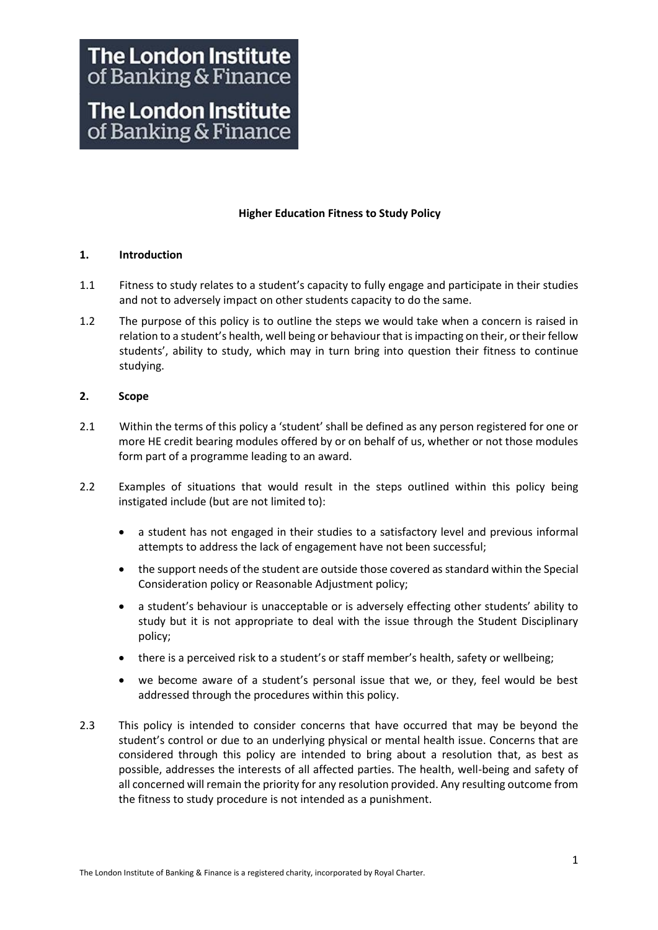# **The London Institute** of Banking & Finance **The London Institute** of Banking & Finance

# **Higher Education Fitness to Study Policy**

# **1. Introduction**

- 1.1 Fitness to study relates to a student's capacity to fully engage and participate in their studies and not to adversely impact on other students capacity to do the same.
- 1.2 The purpose of this policy is to outline the steps we would take when a concern is raised in relation to a student's health, well being or behaviour that is impacting on their, or their fellow students', ability to study, which may in turn bring into question their fitness to continue studying.

# **2. Scope**

- 2.1 Within the terms of this policy a 'student' shall be defined as any person registered for one or more HE credit bearing modules offered by or on behalf of us, whether or not those modules form part of a programme leading to an award.
- 2.2 Examples of situations that would result in the steps outlined within this policy being instigated include (but are not limited to):
	- a student has not engaged in their studies to a satisfactory level and previous informal attempts to address the lack of engagement have not been successful;
	- the support needs of the student are outside those covered as standard within the Special Consideration policy or Reasonable Adjustment policy;
	- a student's behaviour is unacceptable or is adversely effecting other students' ability to study but it is not appropriate to deal with the issue through the Student Disciplinary policy;
	- there is a perceived risk to a student's or staff member's health, safety or wellbeing;
	- we become aware of a student's personal issue that we, or they, feel would be best addressed through the procedures within this policy.
- 2.3 This policy is intended to consider concerns that have occurred that may be beyond the student's control or due to an underlying physical or mental health issue. Concerns that are considered through this policy are intended to bring about a resolution that, as best as possible, addresses the interests of all affected parties. The health, well-being and safety of all concerned will remain the priority for any resolution provided. Any resulting outcome from the fitness to study procedure is not intended as a punishment.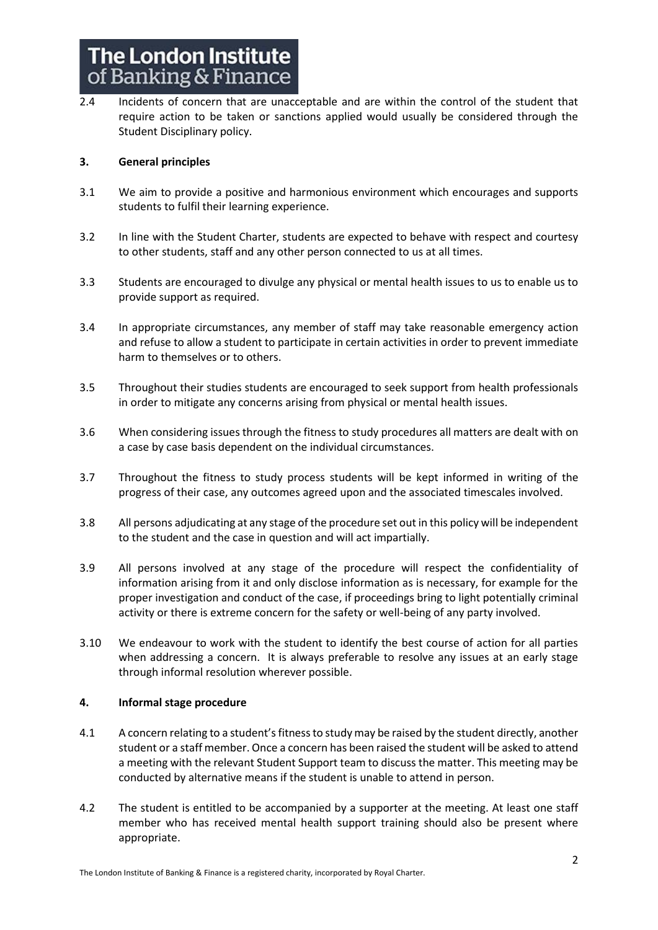2.4 Incidents of concern that are unacceptable and are within the control of the student that require action to be taken or sanctions applied would usually be considered through the Student Disciplinary policy.

# **3. General principles**

- 3.1 We aim to provide a positive and harmonious environment which encourages and supports students to fulfil their learning experience.
- 3.2 In line with the Student Charter, students are expected to behave with respect and courtesy to other students, staff and any other person connected to us at all times.
- 3.3 Students are encouraged to divulge any physical or mental health issues to us to enable us to provide support as required.
- 3.4 In appropriate circumstances, any member of staff may take reasonable emergency action and refuse to allow a student to participate in certain activities in order to prevent immediate harm to themselves or to others.
- 3.5 Throughout their studies students are encouraged to seek support from health professionals in order to mitigate any concerns arising from physical or mental health issues.
- 3.6 When considering issues through the fitness to study procedures all matters are dealt with on a case by case basis dependent on the individual circumstances.
- 3.7 Throughout the fitness to study process students will be kept informed in writing of the progress of their case, any outcomes agreed upon and the associated timescales involved.
- 3.8 All persons adjudicating at any stage of the procedure set out in this policy will be independent to the student and the case in question and will act impartially.
- 3.9 All persons involved at any stage of the procedure will respect the confidentiality of information arising from it and only disclose information as is necessary, for example for the proper investigation and conduct of the case, if proceedings bring to light potentially criminal activity or there is extreme concern for the safety or well-being of any party involved.
- 3.10 We endeavour to work with the student to identify the best course of action for all parties when addressing a concern. It is always preferable to resolve any issues at an early stage through informal resolution wherever possible.

#### **4. Informal stage procedure**

- 4.1 A concern relating to a student's fitness to study may be raised by the student directly, another student or a staff member. Once a concern has been raised the student will be asked to attend a meeting with the relevant Student Support team to discuss the matter. This meeting may be conducted by alternative means if the student is unable to attend in person.
- 4.2 The student is entitled to be accompanied by a supporter at the meeting. At least one staff member who has received mental health support training should also be present where appropriate.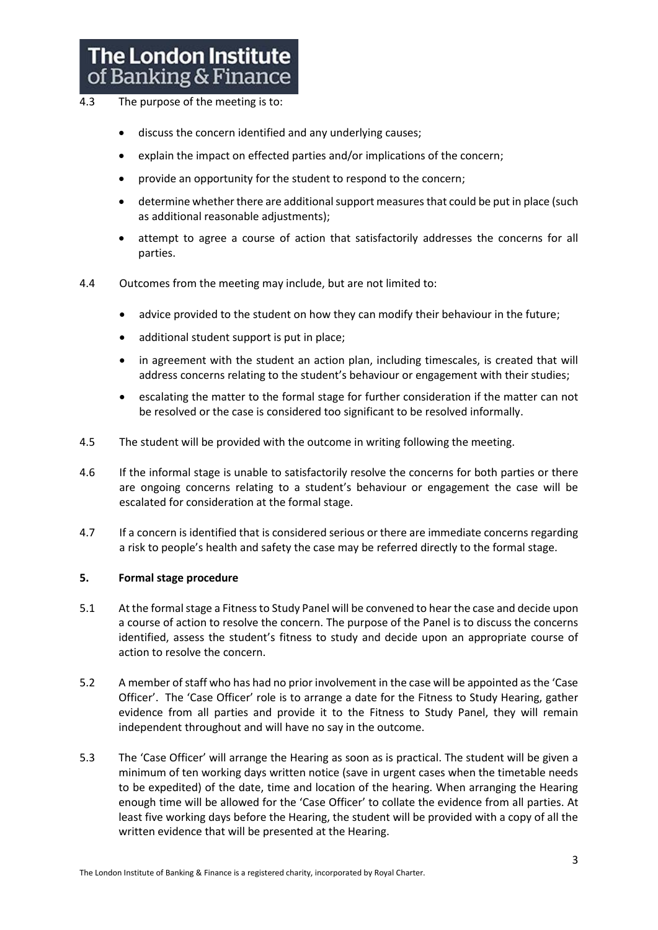- 4.3 The purpose of the meeting is to:
	- discuss the concern identified and any underlying causes;
	- explain the impact on effected parties and/or implications of the concern;
	- provide an opportunity for the student to respond to the concern;
	- determine whether there are additional support measures that could be put in place (such as additional reasonable adjustments);
	- attempt to agree a course of action that satisfactorily addresses the concerns for all parties.
- 4.4 Outcomes from the meeting may include, but are not limited to:
	- advice provided to the student on how they can modify their behaviour in the future;
	- additional student support is put in place;
	- in agreement with the student an action plan, including timescales, is created that will address concerns relating to the student's behaviour or engagement with their studies;
	- escalating the matter to the formal stage for further consideration if the matter can not be resolved or the case is considered too significant to be resolved informally.
- 4.5 The student will be provided with the outcome in writing following the meeting.
- 4.6 If the informal stage is unable to satisfactorily resolve the concerns for both parties or there are ongoing concerns relating to a student's behaviour or engagement the case will be escalated for consideration at the formal stage.
- 4.7 If a concern is identified that is considered serious or there are immediate concerns regarding a risk to people's health and safety the case may be referred directly to the formal stage.

#### **5. Formal stage procedure**

- 5.1 At the formal stage a Fitness to Study Panel will be convened to hear the case and decide upon a course of action to resolve the concern. The purpose of the Panel is to discuss the concerns identified, assess the student's fitness to study and decide upon an appropriate course of action to resolve the concern.
- 5.2 A member of staff who has had no prior involvement in the case will be appointed as the 'Case Officer'. The 'Case Officer' role is to arrange a date for the Fitness to Study Hearing, gather evidence from all parties and provide it to the Fitness to Study Panel, they will remain independent throughout and will have no say in the outcome.
- 5.3 The 'Case Officer' will arrange the Hearing as soon as is practical. The student will be given a minimum of ten working days written notice (save in urgent cases when the timetable needs to be expedited) of the date, time and location of the hearing. When arranging the Hearing enough time will be allowed for the 'Case Officer' to collate the evidence from all parties. At least five working days before the Hearing, the student will be provided with a copy of all the written evidence that will be presented at the Hearing.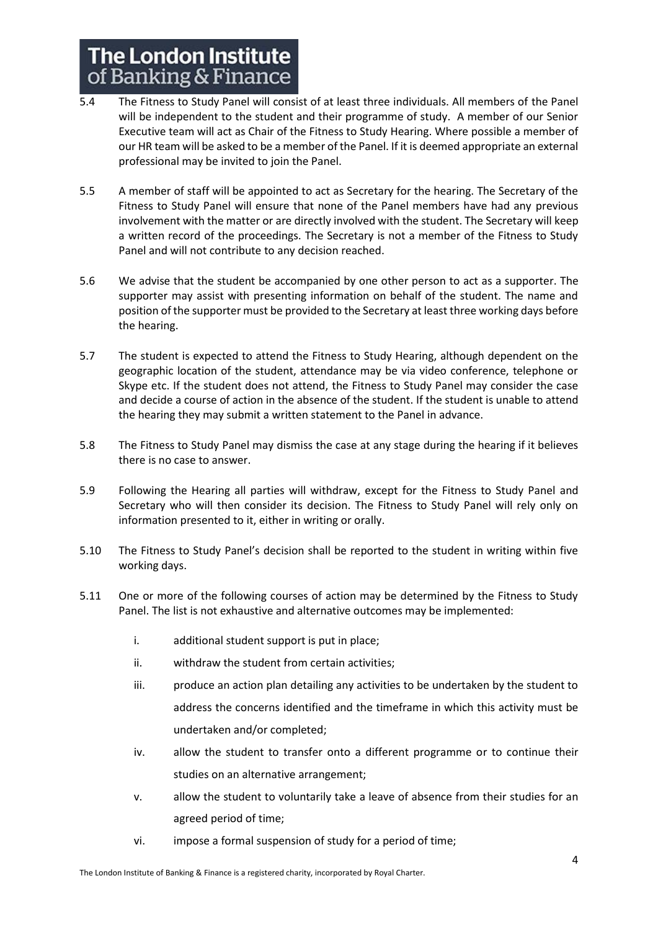- 5.4 The Fitness to Study Panel will consist of at least three individuals. All members of the Panel will be independent to the student and their programme of study. A member of our Senior Executive team will act as Chair of the Fitness to Study Hearing. Where possible a member of our HR team will be asked to be a member of the Panel. If it is deemed appropriate an external professional may be invited to join the Panel.
- 5.5 A member of staff will be appointed to act as Secretary for the hearing. The Secretary of the Fitness to Study Panel will ensure that none of the Panel members have had any previous involvement with the matter or are directly involved with the student. The Secretary will keep a written record of the proceedings. The Secretary is not a member of the Fitness to Study Panel and will not contribute to any decision reached.
- 5.6 We advise that the student be accompanied by one other person to act as a supporter. The supporter may assist with presenting information on behalf of the student. The name and position of the supporter must be provided to the Secretary at least three working days before the hearing.
- 5.7 The student is expected to attend the Fitness to Study Hearing, although dependent on the geographic location of the student, attendance may be via video conference, telephone or Skype etc. If the student does not attend, the Fitness to Study Panel may consider the case and decide a course of action in the absence of the student. If the student is unable to attend the hearing they may submit a written statement to the Panel in advance.
- 5.8 The Fitness to Study Panel may dismiss the case at any stage during the hearing if it believes there is no case to answer.
- 5.9 Following the Hearing all parties will withdraw, except for the Fitness to Study Panel and Secretary who will then consider its decision. The Fitness to Study Panel will rely only on information presented to it, either in writing or orally.
- 5.10 The Fitness to Study Panel's decision shall be reported to the student in writing within five working days.
- 5.11 One or more of the following courses of action may be determined by the Fitness to Study Panel. The list is not exhaustive and alternative outcomes may be implemented:
	- i. additional student support is put in place;
	- ii. withdraw the student from certain activities;
	- iii. produce an action plan detailing any activities to be undertaken by the student to address the concerns identified and the timeframe in which this activity must be undertaken and/or completed;
	- iv. allow the student to transfer onto a different programme or to continue their studies on an alternative arrangement;
	- v. allow the student to voluntarily take a leave of absence from their studies for an agreed period of time;
	- vi. impose a formal suspension of study for a period of time;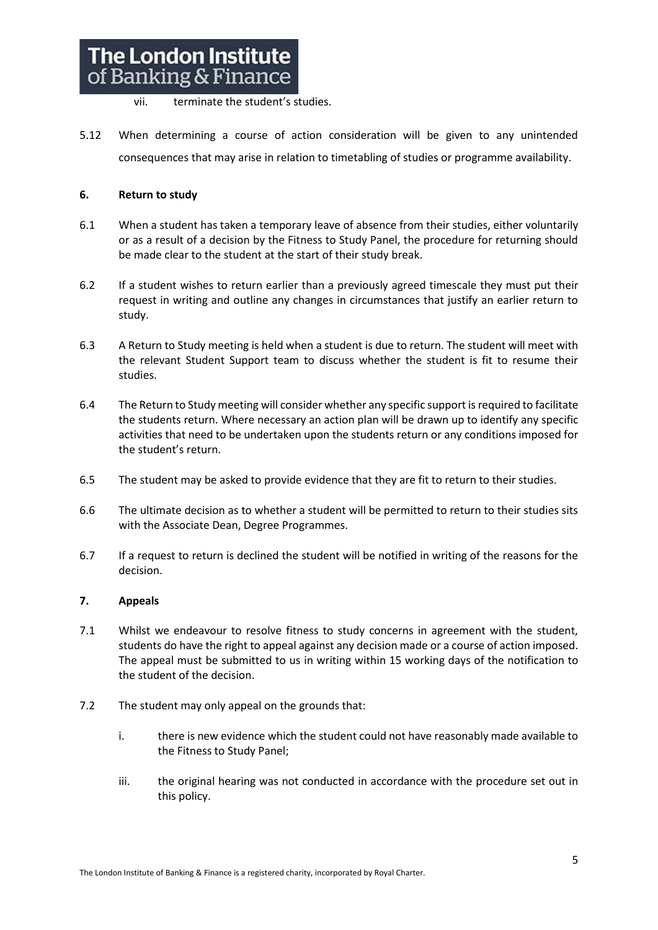vii. terminate the student's studies.

5.12 When determining a course of action consideration will be given to any unintended consequences that may arise in relation to timetabling of studies or programme availability.

# **6. Return to study**

- 6.1 When a student has taken a temporary leave of absence from their studies, either voluntarily or as a result of a decision by the Fitness to Study Panel, the procedure for returning should be made clear to the student at the start of their study break.
- 6.2 If a student wishes to return earlier than a previously agreed timescale they must put their request in writing and outline any changes in circumstances that justify an earlier return to study.
- 6.3 A Return to Study meeting is held when a student is due to return. The student will meet with the relevant Student Support team to discuss whether the student is fit to resume their studies.
- 6.4 The Return to Study meeting will consider whether any specific support is required to facilitate the students return. Where necessary an action plan will be drawn up to identify any specific activities that need to be undertaken upon the students return or any conditions imposed for the student's return.
- 6.5 The student may be asked to provide evidence that they are fit to return to their studies.
- 6.6 The ultimate decision as to whether a student will be permitted to return to their studies sits with the Associate Dean, Degree Programmes.
- 6.7 If a request to return is declined the student will be notified in writing of the reasons for the decision.

# **7. Appeals**

- 7.1 Whilst we endeavour to resolve fitness to study concerns in agreement with the student, students do have the right to appeal against any decision made or a course of action imposed. The appeal must be submitted to us in writing within 15 working days of the notification to the student of the decision.
- 7.2 The student may only appeal on the grounds that:
	- i. there is new evidence which the student could not have reasonably made available to the Fitness to Study Panel;
	- iii. the original hearing was not conducted in accordance with the procedure set out in this policy.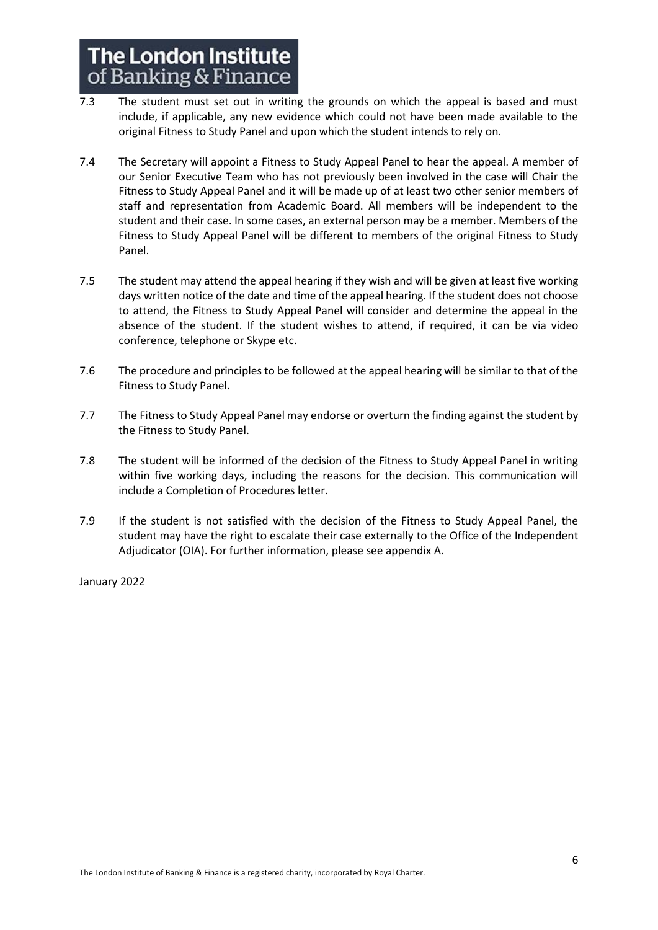- 7.3 The student must set out in writing the grounds on which the appeal is based and must include, if applicable, any new evidence which could not have been made available to the original Fitness to Study Panel and upon which the student intends to rely on.
- 7.4 The Secretary will appoint a Fitness to Study Appeal Panel to hear the appeal. A member of our Senior Executive Team who has not previously been involved in the case will Chair the Fitness to Study Appeal Panel and it will be made up of at least two other senior members of staff and representation from Academic Board. All members will be independent to the student and their case. In some cases, an external person may be a member. Members of the Fitness to Study Appeal Panel will be different to members of the original Fitness to Study Panel.
- 7.5 The student may attend the appeal hearing if they wish and will be given at least five working days written notice of the date and time of the appeal hearing. If the student does not choose to attend, the Fitness to Study Appeal Panel will consider and determine the appeal in the absence of the student. If the student wishes to attend, if required, it can be via video conference, telephone or Skype etc.
- 7.6 The procedure and principles to be followed at the appeal hearing will be similar to that of the Fitness to Study Panel.
- 7.7 The Fitness to Study Appeal Panel may endorse or overturn the finding against the student by the Fitness to Study Panel.
- 7.8 The student will be informed of the decision of the Fitness to Study Appeal Panel in writing within five working days, including the reasons for the decision. This communication will include a Completion of Procedures letter.
- 7.9 If the student is not satisfied with the decision of the Fitness to Study Appeal Panel, the student may have the right to escalate their case externally to the Office of the Independent Adjudicator (OIA). For further information, please see appendix A.

January 2022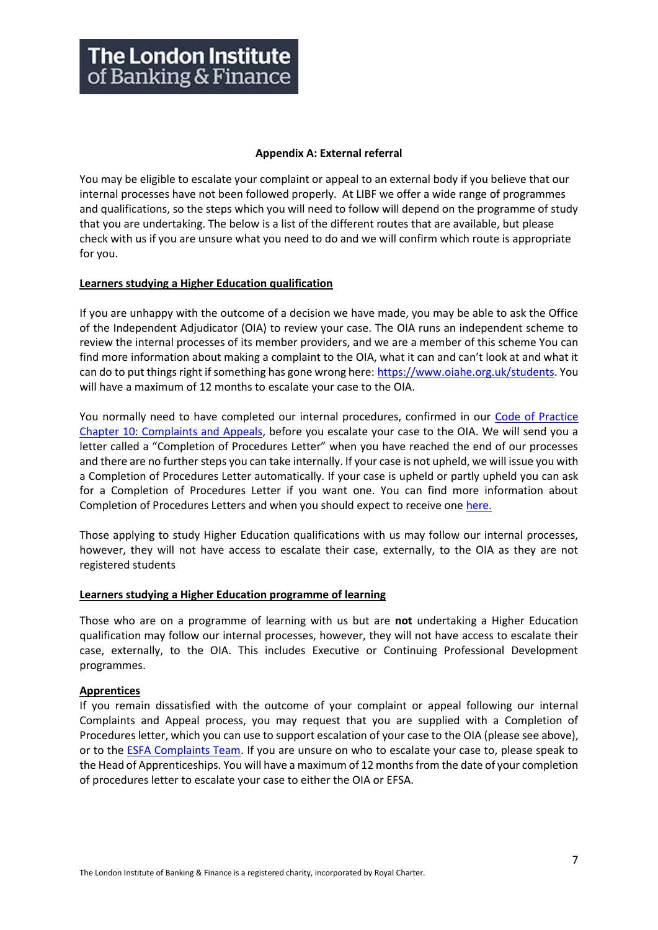#### **Appendix A: External referral**

You may be eligible to escalate your complaint or appeal to an external body if you believe that our internal processes have not been followed properly. At LIBF we offer a wide range of programmes and qualifications, so the steps which you will need to follow will depend on the programme of study that you are undertaking. The below is a list of the different routes that are available, but please check with us if you are unsure what you need to do and we will confirm which route is appropriate for you.

#### **Learners studying a Higher Education qualification**

If you are unhappy with the outcome of a decision we have made, you may be able to ask the Office of the Independent Adjudicator (OIA) to review your case. The OIA runs an independent scheme to review the internal processes of its member providers, and we are a member of this scheme You can find more information about making a complaint to the OIA, what it can and can't look at and what it can do to put things right if something has gone wrong here: [https://www.oiahe.org.uk/students.](https://www.oiahe.org.uk/students/) You will have a maximum of 12 months to escalate your case to the OIA.

You normally need to have completed our internal procedures, confirmed in our Code of Practice [Chapter 10: Complaints and Appeals,](https://www.libf.ac.uk/docs/default-source/about-us-docs/code-of-practice/chapter-10-complaints-and-appeals-(reviewed-july-2021-).pdf?sfvrsn=434268d_2) before you escalate your case to the OIA. We will send you a letter called a "Completion of Procedures Letter" when you have reached the end of our processes and there are no further steps you can take internally. If your case is not upheld, we will issue you with a Completion of Procedures Letter automatically. If your case is upheld or partly upheld you can ask for a Completion of Procedures Letter if you want one. You can find more information about Completion of Procedures Letters and when you should expect to receive on[e here.](https://www.oiahe.org.uk/providers/completion-of-procedures%20letters)

Those applying to study Higher Education qualifications with us may follow our internal processes, however, they will not have access to escalate their case, externally, to the OIA as they are not registered students

#### **Learners studying a Higher Education programme of learning**

Those who are on a programme of learning with us but are **not** undertaking a Higher Education qualification may follow our internal processes, however, they will not have access to escalate their case, externally, to the OIA. This includes Executive or Continuing Professional Development programmes.

#### **Apprentices**

If you remain dissatisfied with the outcome of your complaint or appeal following our internal Complaints and Appeal process, you may request that you are supplied with a Completion of Procedures letter, which you can use to support escalation of your case to the OIA (please see above), or to the **ESFA Complaints Team.** If you are unsure on who to escalate your case to, please speak to the Head of Apprenticeships. You will have a maximum of 12 months from the date of your completion of procedures letter to escalate your case to either the OIA or EFSA.